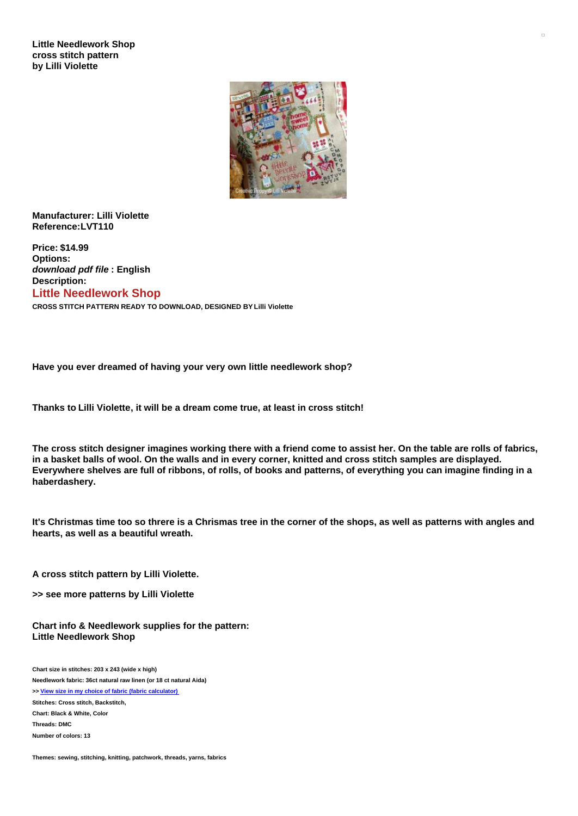

**Manufacturer: Lilli Violette Reference:LVT110**

**Price: \$14.99 Options:** *download pdf file* **: English Description: Little Needlework Shop**

**CROSS STITCH PATTERN READY TO DOWNLOAD, DESIGNED BY Lilli Violette**

**Have you ever dreamed of having your very own little needlework shop?**

**Thanks to Lilli Violette, it will be a dream come true, at least in cross stitch!**

The cross stitch designer imagines working there with a friend come to assist her. On the table are rolls of fabrics, in a basket balls of wool. On the walls and in every corner, knitted and cross stitch samples are displayed. Everywhere shelves are full of ribbons, of rolls, of books and patterns, of everything you can imagine finding in a **haberdashery.**

It's Christmas time too so threre is a Chrismas tree in the corner of the shops, as well as patterns with angles and **hearts, as well as a beautiful wreath.**

**A cross stitch pattern by Lilli Violette.**

**>> see more patterns by Lilli Violette**

**Chart info & Needlework supplies for the pattern: Little Needlework Shop**

**Chart size in stitches: 203 x 243 (wide x high) Needlework fabric: 36ct natural raw linen (or 18 ct natural Aida) >> View size in my choice of fabric (fabric [calculator\)](https://www.creativepoppypatterns.com/calculette-de-toile.php?products_id=3496&w=203&h=243) Stitches: Cross stitch, Backstitch, Chart: Black & White, Color Threads: DMC Number of colors: 13**

**Themes: sewing, stitching, knitting, patchwork, threads, yarns, fabrics**